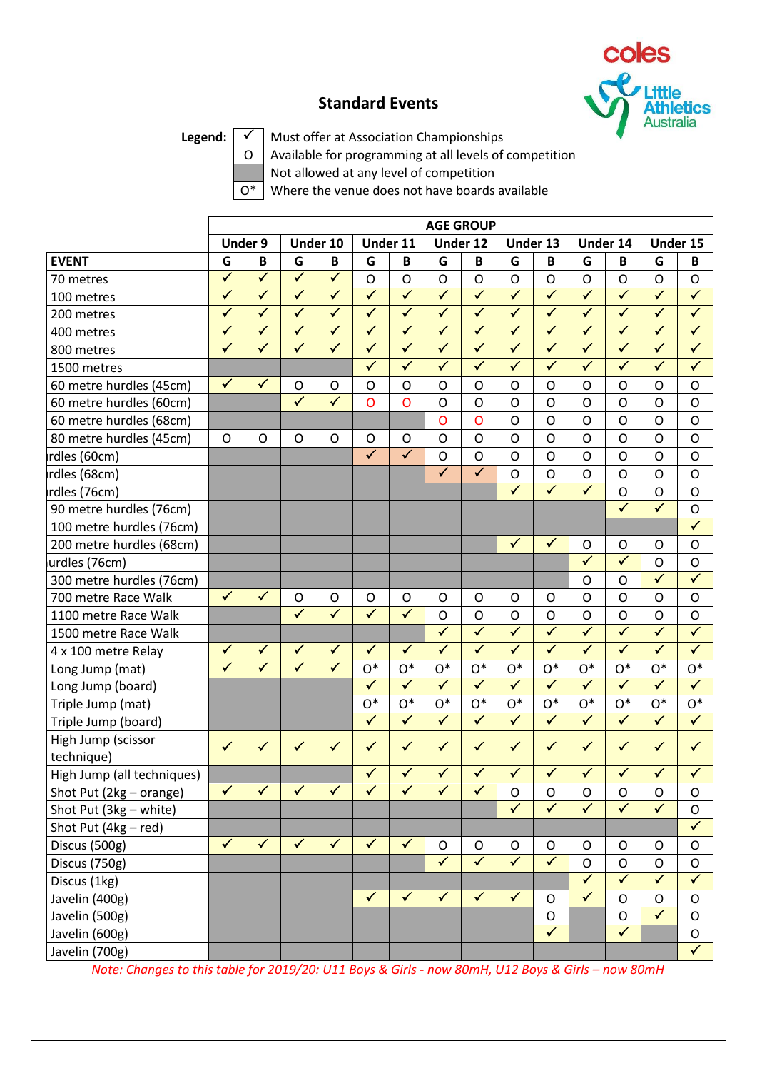

## **Standard Events**

Legend:  $\boxed{\checkmark}$  Must offer at Association Championships

 $\overline{O}$  Available for programming at all levels of competition

Not allowed at any level of competition

 $\overline{O^*}$  Where the venue does not have boards available

|                                  | <b>AGE GROUP</b>        |                         |                         |                         |                         |                         |                         |                         |                         |                         |                         |                         |                         |                         |
|----------------------------------|-------------------------|-------------------------|-------------------------|-------------------------|-------------------------|-------------------------|-------------------------|-------------------------|-------------------------|-------------------------|-------------------------|-------------------------|-------------------------|-------------------------|
|                                  |                         | <b>Under 9</b>          |                         | Under 10                |                         | Under 11                |                         | Under 12                |                         | Under 13                |                         | Under 14                |                         | Under 15                |
| <b>EVENT</b>                     | G                       | B                       | G                       | В                       | G                       | B                       | G                       | B                       | G                       | B                       | G                       | B                       | G                       | B                       |
| 70 metres                        | $\checkmark$            | $\checkmark$            | $\checkmark$            | $\checkmark$            | $\mathsf{O}$            | $\mathsf{O}$            | O                       | $\mathsf{O}$            | $\circ$                 | $\mathsf O$             | $\mathsf{O}$            | $\mathsf{O}$            | $\mathsf{O}$            | $\mathsf O$             |
| 100 metres                       | $\overline{\checkmark}$ | $\overline{\checkmark}$ | $\overline{\checkmark}$ | $\overline{\checkmark}$ | $\overline{\checkmark}$ | $\overline{\checkmark}$ | $\overline{\checkmark}$ | $\overline{\checkmark}$ | $\overline{\checkmark}$ | $\overline{\checkmark}$ | $\overline{\checkmark}$ | $\overline{\checkmark}$ | $\overline{\checkmark}$ | $\blacktriangledown$    |
| 200 metres                       | $\checkmark$            | $\checkmark$            | $\blacktriangledown$    | $\checkmark$            | $\checkmark$            | $\checkmark$            | $\checkmark$            | $\checkmark$            | $\checkmark$            | $\checkmark$            | $\checkmark$            | $\checkmark$            | $\checkmark$            | $\checkmark$            |
| 400 metres                       | $\checkmark$            | $\checkmark$            | $\checkmark$            | $\checkmark$            | $\checkmark$            | $\checkmark$            | $\checkmark$            | $\sqrt{}$               | $\checkmark$            | $\checkmark$            | $\checkmark$            | $\checkmark$            | $\checkmark$            | $\checkmark$            |
| 800 metres                       | $\overline{\checkmark}$ | $\overline{\checkmark}$ | $\overline{\checkmark}$ | $\overline{\checkmark}$ | $\overline{\checkmark}$ | $\overline{\checkmark}$ | $\overline{\checkmark}$ | $\overline{\checkmark}$ | $\overline{\checkmark}$ | $\overline{\checkmark}$ | $\overline{\checkmark}$ | $\overline{\checkmark}$ | $\overline{\checkmark}$ | $\overline{\checkmark}$ |
| 1500 metres                      |                         |                         |                         |                         | $\checkmark$            | $\checkmark$            | $\checkmark$            | $\checkmark$            | $\checkmark$            | $\checkmark$            | $\checkmark$            | $\checkmark$            | $\checkmark$            | $\checkmark$            |
| 60 metre hurdles (45cm)          | $\checkmark$            | $\checkmark$            | $\circ$                 | $\mathsf O$             | $\mathsf{O}$            | $\mathsf{O}$            | O                       | $\mathsf{O}$            | $\circ$                 | $\mathsf O$             | $\mathsf{O}$            | $\mathsf{O}$            | $\mathsf{O}$            | $\mathsf{O}$            |
| 60 metre hurdles (60cm)          |                         |                         | $\overline{\checkmark}$ | $\overline{\checkmark}$ | $\overline{O}$          | $\overline{O}$          | O                       | $\mathsf{O}$            | $\circ$                 | $\mathsf O$             | $\mathsf{O}$            | $\overline{O}$          | $\mathsf{O}$            | $\mathsf{O}$            |
| 60 metre hurdles (68cm)          |                         |                         |                         |                         |                         |                         | Ο                       | $\mathsf{O}$            | $\mathsf{O}$            | O                       | $\circ$                 | $\overline{O}$          | O                       | $\circ$                 |
| 80 metre hurdles (45cm)          | $\circ$                 | $\circ$                 | $\circ$                 | O                       | O                       | $\circ$                 | O                       | $\mathsf{O}$            | $\circ$                 | $\mathsf O$             | $\mathsf{O}$            | $\Omega$                | $\mathsf{O}$            | $\mathsf{O}$            |
| rdles (60cm)                     |                         |                         |                         |                         | $\overline{\checkmark}$ | $\overline{\checkmark}$ | $\mathsf{O}$            | $\mathsf{O}$            | $\circ$                 | $\mathsf{O}$            | $\mathsf{O}$            | O                       | $\mathsf{O}$            | $\mathsf{O}$            |
| rdles (68cm)                     |                         |                         |                         |                         |                         |                         | $\checkmark$            | $\checkmark$            | $\mathsf{O}$            | $\mathsf O$             | $\mathsf{O}$            | $\overline{O}$          | $\mathsf{O}$            | $\circ$                 |
| rdles (76cm)                     |                         |                         |                         |                         |                         |                         |                         |                         | $\overline{\checkmark}$ | $\overline{\checkmark}$ | $\overline{\checkmark}$ | $\overline{O}$          | $\mathsf{O}$            | $\mathsf{O}$            |
| 90 metre hurdles (76cm)          |                         |                         |                         |                         |                         |                         |                         |                         |                         |                         |                         | $\checkmark$            | $\overline{\checkmark}$ | $\circ$                 |
| 100 metre hurdles (76cm)         |                         |                         |                         |                         |                         |                         |                         |                         |                         |                         |                         |                         |                         | $\overline{\checkmark}$ |
| 200 metre hurdles (68cm)         |                         |                         |                         |                         |                         |                         |                         |                         | $\checkmark$            | $\checkmark$            | O                       | $\circ$                 | $\mathsf{O}$            | $\circ$                 |
| urdles (76cm)                    |                         |                         |                         |                         |                         |                         |                         |                         |                         |                         | $\checkmark$            | $\checkmark$            | $\mathsf{O}$            | $\mathsf{O}$            |
| 300 metre hurdles (76cm)         |                         |                         |                         |                         |                         |                         |                         |                         |                         |                         | O                       | O                       | $\checkmark$            | $\checkmark$            |
| 700 metre Race Walk              | $\checkmark$            | $\checkmark$            | $\circ$                 | O                       | O                       | $\mathsf O$             | O                       | $\circ$                 | $\circ$                 | O                       | $\mathsf{O}$            | $\overline{O}$          | O                       | $\circ$                 |
| 1100 metre Race Walk             |                         |                         | $\overline{\checkmark}$ | $\overline{\checkmark}$ | $\checkmark$            | $\overline{\checkmark}$ | O                       | $\mathsf{O}$            | $\mathsf O$             | $\mathsf O$             | $\circ$                 | $\overline{O}$          | $\mathsf{O}$            | $\mathsf{O}$            |
| 1500 metre Race Walk             |                         |                         |                         |                         |                         |                         | $\checkmark$            | $\overline{\checkmark}$ | $\overline{\checkmark}$ | $\overline{\checkmark}$ | $\blacktriangledown$    | $\overline{\checkmark}$ | $\checkmark$            | $\overline{\checkmark}$ |
| 4 x 100 metre Relay              | $\checkmark$            | $\checkmark$            | $\checkmark$            | $\checkmark$            | $\checkmark$            | $\checkmark$            | $\checkmark$            | $\checkmark$            | $\blacktriangledown$    | $\overline{\checkmark}$ | $\checkmark$            | $\checkmark$            | $\checkmark$            | $\overline{\checkmark}$ |
| Long Jump (mat)                  | $\checkmark$            | $\checkmark$            | $\overline{\checkmark}$ | $\checkmark$            | $O*$                    | $O*$                    | $O^*$                   | $O^*$                   | $O^*$                   | $O^*$                   | $O*$                    | $O*$                    | $O^*$                   | $\mathrm{O}^{*}$        |
| Long Jump (board)                |                         |                         |                         |                         | $\overline{\checkmark}$ | $\overline{\checkmark}$ | $\overline{\checkmark}$ | $\overline{\checkmark}$ | $\blacktriangledown$    | $\overline{\checkmark}$ | $\overline{\checkmark}$ | $\overline{\checkmark}$ | $\checkmark$            | $\overline{\checkmark}$ |
| Triple Jump (mat)                |                         |                         |                         |                         | $O*$                    | $O^*$                   | $O^*$                   | $O^*$                   | $O^*$                   | $O^*$                   | $O*$                    | $O^*$                   | $O^*$                   | $O^*$                   |
| Triple Jump (board)              |                         |                         |                         |                         | $\checkmark$            | $\checkmark$            | $\checkmark$            | $\checkmark$            | $\blacktriangledown$    | $\blacktriangledown$    | $\checkmark$            | $\checkmark$            | $\checkmark$            | $\checkmark$            |
| High Jump (scissor<br>technique) | $\checkmark$            | $\checkmark$            | $\checkmark$            | $\checkmark$            | $\checkmark$            | $\checkmark$            | ✓                       | $\checkmark$            | $\checkmark$            | $\checkmark$            | $\checkmark$            | $\checkmark$            | $\checkmark$            | $\checkmark$            |
| High Jump (all techniques)       |                         |                         |                         |                         | $\checkmark$            | $\checkmark$            | $\checkmark$            | $\checkmark$            | $\checkmark$            | $\checkmark$            | $\checkmark$            | $\checkmark$            | ✓                       | $\checkmark$            |
| Shot Put (2kg - orange)          | $\checkmark$            | $\checkmark$            | $\checkmark$            | $\checkmark$            | $\checkmark$            | $\checkmark$            | ✓                       | ✓                       | $\mathsf O$             | O                       | ${\mathsf O}$           | 0                       | O                       | ${\mathsf O}$           |
| Shot Put (3kg - white)           |                         |                         |                         |                         |                         |                         |                         |                         | $\overline{\checkmark}$ | $\overline{\checkmark}$ | $\overline{\checkmark}$ | $\overline{\checkmark}$ | $\overline{\checkmark}$ | $\mathsf O$             |
| Shot Put (4kg - red)             |                         |                         |                         |                         |                         |                         |                         |                         |                         |                         |                         |                         |                         | $\checkmark$            |
| Discus (500g)                    | $\checkmark$            | $\checkmark$            | $\checkmark$            | $\checkmark$            | $\checkmark$            | $\checkmark$            | $\mathsf O$             | $\mathsf O$             | $\mathsf O$             | $\mathsf O$             | $\circ$                 | $\mathsf O$             | $\mathsf O$             | $\mathsf O$             |
| Discus (750g)                    |                         |                         |                         |                         |                         |                         | $\sqrt{}$               | $\overline{\checkmark}$ | $\sqrt{}$               | $\overline{\checkmark}$ | $\mathsf{O}$            | $\mathsf O$             | $\mathsf O$             | $\mathsf O$             |
| Discus (1kg)                     |                         |                         |                         |                         |                         |                         |                         |                         |                         |                         | $\checkmark$            | $\checkmark$            | $\checkmark$            | $\checkmark$            |
| Javelin (400g)                   |                         |                         |                         |                         | $\checkmark$            | $\checkmark$            | $\checkmark$            | $\checkmark$            | $\blacktriangledown$    | $\mathsf{O}$            | $\checkmark$            | $\circ$                 | $\mathsf O$             | $\mathsf O$             |
| Javelin (500g)                   |                         |                         |                         |                         |                         |                         |                         |                         |                         | $\mathsf O$             |                         | $\mathsf{O}$            | $\overline{\checkmark}$ | $\mathsf{O}$            |
| Javelin (600g)                   |                         |                         |                         |                         |                         |                         |                         |                         |                         | $\overline{\checkmark}$ |                         | $\checkmark$            |                         | $\mathsf O$             |
| Javelin (700g)                   |                         |                         |                         |                         |                         |                         |                         |                         |                         |                         |                         |                         |                         | $\checkmark$            |

*Note: Changes to this table for 2019/20: U11 Boys & Girls - now 80mH, U12 Boys & Girls – now 80mH*